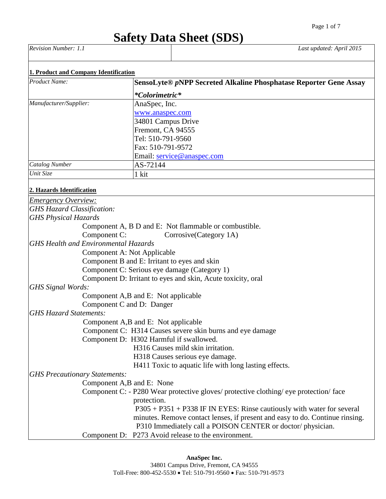# **Safety Data Sheet (SDS)**

*Revision Number: 1.1 Last updated: April 2015*

| Product Name:                                         | SensoLyte® pNPP Secreted Alkaline Phosphatase Reporter Gene Assay                       |  |  |  |
|-------------------------------------------------------|-----------------------------------------------------------------------------------------|--|--|--|
|                                                       | *Colorimetric*                                                                          |  |  |  |
| Manufacturer/Supplier:                                | AnaSpec, Inc.                                                                           |  |  |  |
|                                                       | www.anaspec.com                                                                         |  |  |  |
|                                                       | 34801 Campus Drive                                                                      |  |  |  |
|                                                       | Fremont, CA 94555                                                                       |  |  |  |
|                                                       | Tel: 510-791-9560                                                                       |  |  |  |
|                                                       | Fax: 510-791-9572                                                                       |  |  |  |
|                                                       | Email: service@anaspec.com                                                              |  |  |  |
| <b>Catalog Number</b>                                 | AS-72144                                                                                |  |  |  |
| Unit Size                                             | 1 kit                                                                                   |  |  |  |
|                                                       |                                                                                         |  |  |  |
| 2. Hazards Identification                             |                                                                                         |  |  |  |
| <b>Emergency Overview:</b>                            |                                                                                         |  |  |  |
| <b>GHS Hazard Classification:</b>                     |                                                                                         |  |  |  |
| <b>GHS Physical Hazards</b>                           |                                                                                         |  |  |  |
|                                                       | Component A, B D and E: Not flammable or combustible.                                   |  |  |  |
| Component C:                                          | Corrosive(Category 1A)                                                                  |  |  |  |
| <b>GHS Health and Environmental Hazards</b>           |                                                                                         |  |  |  |
| Component A: Not Applicable                           |                                                                                         |  |  |  |
|                                                       | Component B and E: Irritant to eyes and skin                                            |  |  |  |
|                                                       | Component C: Serious eye damage (Category 1)                                            |  |  |  |
|                                                       | Component D: Irritant to eyes and skin, Acute toxicity, oral                            |  |  |  |
| <b>GHS Signal Words:</b>                              |                                                                                         |  |  |  |
|                                                       | Component A,B and E: Not applicable                                                     |  |  |  |
|                                                       | Component C and D: Danger                                                               |  |  |  |
| <b>GHS Hazard Statements:</b>                         |                                                                                         |  |  |  |
|                                                       | Component A,B and E: Not applicable                                                     |  |  |  |
|                                                       | Component C: H314 Causes severe skin burns and eye damage                               |  |  |  |
|                                                       | Component D: H302 Harmful if swallowed.                                                 |  |  |  |
|                                                       | H316 Causes mild skin irritation.                                                       |  |  |  |
|                                                       | H318 Causes serious eye damage.                                                         |  |  |  |
| H411 Toxic to aquatic life with long lasting effects. |                                                                                         |  |  |  |
| <b>GHS Precautionary Statements:</b>                  |                                                                                         |  |  |  |
|                                                       | Component A,B and E: None                                                               |  |  |  |
|                                                       | Component C: - P280 Wear protective gloves/ protective clothing/ eye protection/ face   |  |  |  |
|                                                       | protection.<br>$P305 + P351 + P338$ IF IN EYES: Rinse cautiously with water for several |  |  |  |
|                                                       | minutes. Remove contact lenses, if present and easy to do. Continue rinsing.            |  |  |  |
|                                                       | P310 Immediately call a POISON CENTER or doctor/physician.                              |  |  |  |
|                                                       | Component D: P273 Avoid release to the environment.                                     |  |  |  |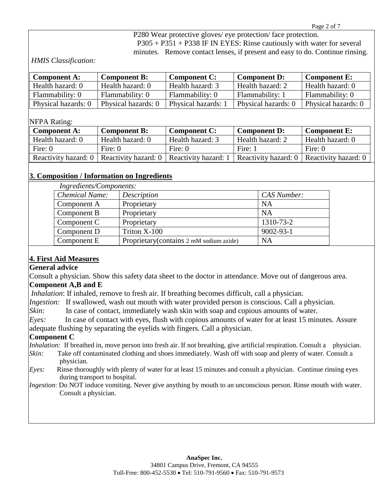P280 Wear protective gloves/ eye protection/ face protection. P305 + P351 + P338 IF IN EYES: Rinse cautiously with water for several minutes. Remove contact lenses, if present and easy to do. Continue rinsing.

*HMIS Classification:*

| <b>Component A:</b><br><b>Component B:</b> |                     | <b>Component C:</b> | <b>Component D:</b> | Component E:        |  |
|--------------------------------------------|---------------------|---------------------|---------------------|---------------------|--|
| Health hazard: 0                           | Health hazard: 0    | Health hazard: 3    | Health hazard: 2    | Health hazard: 0    |  |
| Flammability: 0                            | Flammability: 0     | Flammability: 0     | Flammability: 1     | Flammability: 0     |  |
| Physical hazards: 0                        | Physical hazards: 0 | Physical hazards:   | Physical hazards: 0 | Physical hazards: 0 |  |

#### NFPA Rating:

| <b>Component A:</b>    | <b>Component B:</b>                         | <b>Component C:</b> | <b>Component D:</b>                         | <b>Component E:</b> |  |
|------------------------|---------------------------------------------|---------------------|---------------------------------------------|---------------------|--|
| Health hazard: 0       | Health hazard: 0                            | Health hazard: 3    | Health hazard: 2                            | Health hazard: 0    |  |
| Fire: $0$<br>Fire: $0$ |                                             | Fire: $0$           | Fire: 1                                     | Fire: $0$           |  |
| Reactivity hazard: 0   | Reactivity hazard: 0   Reactivity hazard: 1 |                     | Reactivity hazard: 0   Reactivity hazard: 0 |                     |  |

#### **3. Composition / Information on Ingredients**

| Ingredients/Components: |                                          |                 |  |  |  |  |
|-------------------------|------------------------------------------|-----------------|--|--|--|--|
| <b>Chemical Name:</b>   | Description                              | CAS Number:     |  |  |  |  |
| Component A             | Proprietary                              | NA              |  |  |  |  |
| Component B             | Proprietary                              | <b>NA</b>       |  |  |  |  |
| Component C             | Proprietary                              | 1310-73-2       |  |  |  |  |
| Component D             | Triton X-100                             | $9002 - 93 - 1$ |  |  |  |  |
| Component E             | Proprietary (contains 2 mM sodium azide) | <b>NA</b>       |  |  |  |  |

## **4. First Aid Measures**

**General advice**

Consult a physician. Show this safety data sheet to the doctor in attendance. Move out of dangerous area.

## **Component A,B and E**

*Inhalation*: If inhaled, remove to fresh air. If breathing becomes difficult, call a physician.

*Ingestion:* If swallowed, wash out mouth with water provided person is conscious. Call a physician.

*Skin:* In case of contact, immediately wash skin with soap and copious amounts of water.

*Eyes:* In case of contact with eyes, flush with copious amounts of water for at least 15 minutes. Assure adequate flushing by separating the eyelids with fingers. Call a physician.

#### **Component C**

*Inhalation:* If breathed in, move person into fresh air. If not breathing, give artificial respiration. Consult a physician*.*

- *Skin:* Take off contaminated clothing and shoes immediately. Wash off with soap and plenty of water. Consult a physician*.*
- *Eyes:* Rinse thoroughly with plenty of water for at least 15 minutes and consult a physician. Continue rinsing eyes during transport to hospital.
- *Ingestion*: Do NOT induce vomiting. Never give anything by mouth to an unconscious person. Rinse mouth with water. Consult a physician.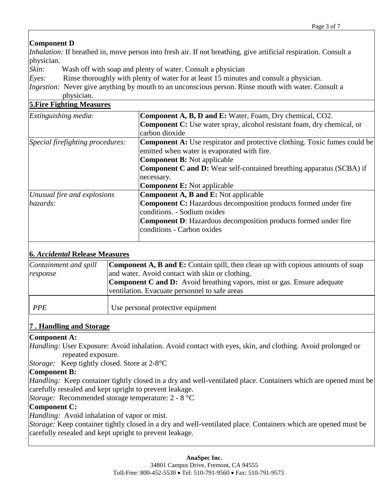## **Component D**

*Inhalation:* If breathed in, move person into fresh air. If not breathing, give artificial respiration. Consult a physician.

*Skin:* Wash off with soap and plenty of water. Consult a physician

*Eyes:*Rinse thoroughly with plenty of water for at least 15 minutes and consult a physician.

*Ingestion:* Never give anything by mouth to an unconscious person. Rinse mouth with water. Consult a physician.

#### **5.Fire Fighting Measures**

| Extinguishing media:             | <b>Component A, B, D and E:</b> Water, Foam, Dry chemical, CO2.                  |  |  |  |  |
|----------------------------------|----------------------------------------------------------------------------------|--|--|--|--|
|                                  | <b>Component C:</b> Use water spray, alcohol resistant foam, dry chemical, or    |  |  |  |  |
|                                  | carbon dioxide                                                                   |  |  |  |  |
| Special firefighting procedures: | <b>Component A:</b> Use respirator and protective clothing. Toxic fumes could be |  |  |  |  |
|                                  | emitted when water is evaporated with fire.                                      |  |  |  |  |
|                                  | <b>Component B:</b> Not applicable                                               |  |  |  |  |
|                                  | <b>Component C and D:</b> Wear self-contained breathing apparatus (SCBA) if      |  |  |  |  |
|                                  | necessary.                                                                       |  |  |  |  |
|                                  | <b>Component E:</b> Not applicable                                               |  |  |  |  |
| Unusual fire and explosions      | <b>Component A, B and E:</b> Not applicable                                      |  |  |  |  |
| hazards:                         | <b>Component C:</b> Hazardous decomposition products formed under fire           |  |  |  |  |
|                                  | conditions. - Sodium oxides                                                      |  |  |  |  |
|                                  | <b>Component D:</b> Hazardous decomposition products formed under fire           |  |  |  |  |
|                                  | conditions - Carbon oxides                                                       |  |  |  |  |
|                                  |                                                                                  |  |  |  |  |

## **6.** *Accidental* **Release Measures**

| Containment and spill | <b>Component A, B and E:</b> Contain spill, then clean up with copious amounts of soap |
|-----------------------|----------------------------------------------------------------------------------------|
| response              | and water. Avoid contact with skin or clothing.                                        |
|                       | <b>Component C and D:</b> Avoid breathing vapors, mist or gas. Ensure adequate         |
|                       | ventilation. Evacuate personnel to safe areas                                          |
|                       |                                                                                        |
| PPE                   | Use personal protective equipment                                                      |
|                       |                                                                                        |

## **7 . Handling and Storage**

#### **Component A:**

*Handling:* User Exposure: Avoid inhalation. Avoid contact with eyes, skin, and clothing. Avoid prolonged or repeated exposure.

*Storage:* Keep tightly closed. Store at 2-8°C

## **Component B:**

*Handling:* Keep container tightly closed in a dry and well-ventilated place. Containers which are opened must be carefully resealed and kept upright to prevent leakage.

*Storage:* Recommended storage temperature: 2 - 8 °C

#### **Component C:**

*Handling:* Avoid inhalation of vapor or mist.

*Storage:* Keep container tightly closed in a dry and well-ventilated place. Containers which are opened must be carefully resealed and kept upright to prevent leakage.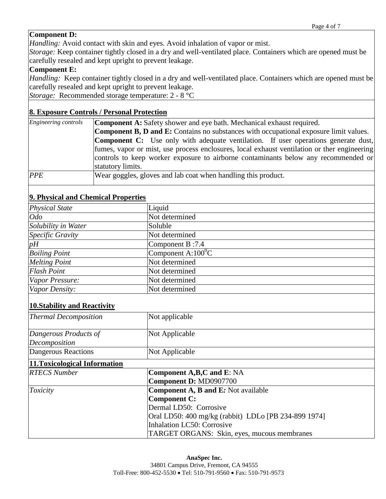## **Component D:**

*Handling:* Avoid contact with skin and eyes. Avoid inhalation of vapor or mist.

*Storage:* Keep container tightly closed in a dry and well-ventilated place. Containers which are opened must be carefully resealed and kept upright to prevent leakage.

#### **Component E:**

*Handling:* Keep container tightly closed in a dry and well-ventilated place. Containers which are opened must be carefully resealed and kept upright to prevent leakage.

*Storage:* Recommended storage temperature: 2 - 8 °C

#### **8. Exposure Controls / Personal Protection**

| Engineering controls | <b>Component A:</b> Safety shower and eye bath. Mechanical exhaust required.                 |  |  |  |  |  |
|----------------------|----------------------------------------------------------------------------------------------|--|--|--|--|--|
|                      | <b>Component B, D and E:</b> Contains no substances with occupational exposure limit values. |  |  |  |  |  |
|                      | <b>Component C:</b> Use only with adequate ventilation. If user operations generate dust,    |  |  |  |  |  |
|                      | fumes, vapor or mist, use process enclosures, local exhaust ventilation or ther engineering  |  |  |  |  |  |
|                      | controls to keep worker exposure to airborne contaminants below any recommended or           |  |  |  |  |  |
| statutory limits.    |                                                                                              |  |  |  |  |  |
| <b>PPE</b>           | Wear goggles, gloves and lab coat when handling this product.                                |  |  |  |  |  |

## **9. Physical and Chemical Properties**

| $\sim$ . The second wing chemical Troper the $\sim$ |                       |  |  |  |
|-----------------------------------------------------|-----------------------|--|--|--|
| <b>Physical State</b>                               | Liquid                |  |  |  |
| $O$ do                                              | Not determined        |  |  |  |
| Solubility in Water                                 | Soluble               |  |  |  |
| Specific Gravity                                    | Not determined        |  |  |  |
| pH                                                  | Component B:7.4       |  |  |  |
| <b>Boiling Point</b>                                | Component A: $100^0C$ |  |  |  |
| <b>Melting Point</b>                                | Not determined        |  |  |  |
| <b>Flash Point</b>                                  | Not determined        |  |  |  |
| Vapor Pressure:                                     | Not determined        |  |  |  |
| Vapor Density:                                      | Not determined        |  |  |  |

## **10.Stability and Reactivity**

| Thermal Decomposition         | Not applicable                                       |
|-------------------------------|------------------------------------------------------|
| Dangerous Products of         | Not Applicable                                       |
| Decomposition                 |                                                      |
| Dangerous Reactions           | Not Applicable                                       |
| 11. Toxicological Information |                                                      |
| <b>RTECS Number</b>           | Component A, B, C and E: NA                          |
|                               | Component D: MD0907700                               |
| Toxicity                      | <b>Component A, B and E:</b> Not available           |
|                               | Component C:                                         |
|                               | Dermal LD50: Corrosive                               |
|                               | Oral LD50: 400 mg/kg (rabbit) LDLo [PB 234-899 1974] |
|                               | Inhalation LC50: Corrosive                           |
|                               | TARGET ORGANS: Skin, eyes, mucous membranes          |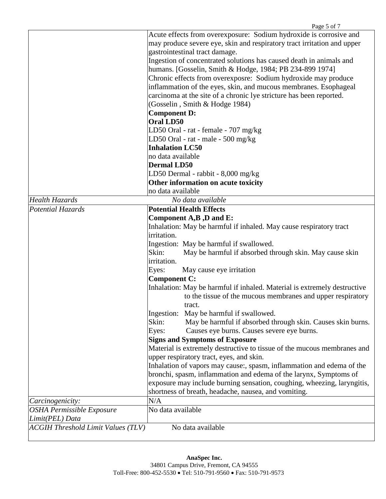|                                                      | Page 5 of 7                                                              |
|------------------------------------------------------|--------------------------------------------------------------------------|
|                                                      | Acute effects from overexposure: Sodium hydroxide is corrosive and       |
|                                                      | may produce severe eye, skin and respiratory tract irritation and upper  |
|                                                      | gastrointestinal tract damage.                                           |
|                                                      | Ingestion of concentrated solutions has caused death in animals and      |
|                                                      | humans. [Gosselin, Smith & Hodge, 1984; PB 234-899 1974]                 |
|                                                      | Chronic effects from overexposre: Sodium hydroxide may produce           |
|                                                      | inflammation of the eyes, skin, and mucous membranes. Esophageal         |
|                                                      | carcinoma at the site of a chronic lye stricture has been reported.      |
|                                                      | (Gosselin, Smith & Hodge 1984)                                           |
|                                                      | <b>Component D:</b>                                                      |
|                                                      | <b>Oral LD50</b>                                                         |
|                                                      | LD50 Oral - rat - female - 707 mg/kg                                     |
|                                                      | LD50 Oral - rat - male - 500 mg/kg                                       |
|                                                      | <b>Inhalation LC50</b>                                                   |
|                                                      | no data available                                                        |
|                                                      | <b>Dermal LD50</b>                                                       |
|                                                      | LD50 Dermal - rabbit - 8,000 mg/kg                                       |
|                                                      | Other information on acute toxicity                                      |
|                                                      | no data available                                                        |
| Health Hazards                                       | No data available                                                        |
| Potential Hazards                                    | <b>Potential Health Effects</b>                                          |
|                                                      | Component A,B, D and E:                                                  |
|                                                      | Inhalation: May be harmful if inhaled. May cause respiratory tract       |
|                                                      | irritation.                                                              |
|                                                      | Ingestion: May be harmful if swallowed.                                  |
|                                                      | Skin:<br>May be harmful if absorbed through skin. May cause skin         |
|                                                      | irritation.                                                              |
|                                                      | Eyes:<br>May cause eye irritation                                        |
|                                                      | Component C:                                                             |
|                                                      | Inhalation: May be harmful if inhaled. Material is extremely destructive |
|                                                      | to the tissue of the mucous membranes and upper respiratory              |
|                                                      | tract.                                                                   |
|                                                      | Ingestion:<br>May be harmful if swallowed.                               |
|                                                      | May be harmful if absorbed through skin. Causes skin burns.<br>Skin:     |
|                                                      | Eyes:<br>Causes eye burns. Causes severe eye burns.                      |
|                                                      | <b>Signs and Symptoms of Exposure</b>                                    |
|                                                      | Material is extremely destructive to tissue of the mucous membranes and  |
|                                                      | upper respiratory tract, eyes, and skin.                                 |
|                                                      | Inhalation of vapors may cause:, spasm, inflammation and edema of the    |
|                                                      | bronchi, spasm, inflammation and edema of the larynx, Symptoms of        |
|                                                      | exposure may include burning sensation, coughing, wheezing, laryngitis,  |
|                                                      | shortness of breath, headache, nausea, and vomiting.                     |
|                                                      | N/A                                                                      |
| Carcinogenicity:<br><b>OSHA Permissible Exposure</b> | No data available                                                        |
| Limit(PEL) Data                                      |                                                                          |
|                                                      |                                                                          |
| <b>ACGIH Threshold Limit Values (TLV)</b>            | No data available                                                        |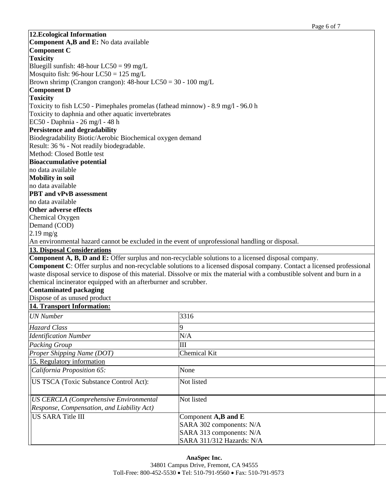|                                                                                                 | Page 6 of 7                                                                                                                    |
|-------------------------------------------------------------------------------------------------|--------------------------------------------------------------------------------------------------------------------------------|
| 12. Ecological Information                                                                      |                                                                                                                                |
| Component A,B and E: No data available                                                          |                                                                                                                                |
| <b>Component C</b>                                                                              |                                                                                                                                |
| <b>Toxicity</b>                                                                                 |                                                                                                                                |
| Bluegill sunfish: $48$ -hour LC50 = 99 mg/L                                                     |                                                                                                                                |
| Mosquito fish: 96-hour $LC50 = 125$ mg/L                                                        |                                                                                                                                |
| Brown shrimp (Crangon crangon): $48$ -hour LC50 = 30 - 100 mg/L                                 |                                                                                                                                |
| <b>Component D</b>                                                                              |                                                                                                                                |
| <b>Toxicity</b>                                                                                 |                                                                                                                                |
| Toxicity to fish LC50 - Pimephales promelas (fathead minnow) - 8.9 mg/l - 96.0 h                |                                                                                                                                |
| Toxicity to daphnia and other aquatic invertebrates                                             |                                                                                                                                |
| EC50 - Daphnia - 26 mg/l - 48 h                                                                 |                                                                                                                                |
| <b>Persistence and degradability</b>                                                            |                                                                                                                                |
| Biodegradability Biotic/Aerobic Biochemical oxygen demand                                       |                                                                                                                                |
| Result: 36 % - Not readily biodegradable.                                                       |                                                                                                                                |
| Method: Closed Bottle test                                                                      |                                                                                                                                |
| <b>Bioaccumulative potential</b>                                                                |                                                                                                                                |
| no data available                                                                               |                                                                                                                                |
| <b>Mobility in soil</b>                                                                         |                                                                                                                                |
| no data available                                                                               |                                                                                                                                |
| <b>PBT</b> and vPvB assessment                                                                  |                                                                                                                                |
| no data available                                                                               |                                                                                                                                |
| Other adverse effects                                                                           |                                                                                                                                |
| Chemical Oxygen                                                                                 |                                                                                                                                |
| Demand (COD)                                                                                    |                                                                                                                                |
| $2.19$ mg/g                                                                                     |                                                                                                                                |
| An environmental hazard cannot be excluded in the event of unprofessional handling or disposal. |                                                                                                                                |
| <b>13. Disposal Considerations</b>                                                              |                                                                                                                                |
|                                                                                                 | Component A, B, D and E: Offer surplus and non-recyclable solutions to a licensed disposal company.                            |
|                                                                                                 | <b>Component C:</b> Offer surplus and non-recyclable solutions to a licensed disposal company. Contact a licensed professional |
|                                                                                                 | waste disposal service to dispose of this material. Dissolve or mix the material with a combustible solvent and burn in a      |
| chemical incinerator equipped with an afterburner and scrubber.                                 |                                                                                                                                |
| <b>Contaminated packaging</b>                                                                   |                                                                                                                                |
| Dispose of as unused product                                                                    |                                                                                                                                |
| <b>14. Transport Information:</b>                                                               |                                                                                                                                |
| <b>UN</b> Number                                                                                | 3316                                                                                                                           |
|                                                                                                 |                                                                                                                                |
| Hazard Class                                                                                    | 9                                                                                                                              |
| <b>Identification Number</b>                                                                    | N/A                                                                                                                            |
| <b>Packing Group</b>                                                                            | Ш                                                                                                                              |
| Proper Shipping Name (DOT)                                                                      | Chemical Kit                                                                                                                   |
| 15. Regulatory information                                                                      |                                                                                                                                |
| California Proposition 65:                                                                      | None                                                                                                                           |
| US TSCA (Toxic Substance Control Act):                                                          | Not listed                                                                                                                     |
|                                                                                                 |                                                                                                                                |
| <b>US CERCLA (Comprehensive Environmental</b>                                                   | Not listed                                                                                                                     |
| Response, Compensation, and Liability Act)                                                      |                                                                                                                                |
| <b>US SARA Title III</b>                                                                        | Component $A,B$ and $E$                                                                                                        |
|                                                                                                 | SARA 302 components: N/A                                                                                                       |
|                                                                                                 | SARA 313 components: N/A                                                                                                       |
|                                                                                                 | SARA 311/312 Hazards: N/A                                                                                                      |
|                                                                                                 |                                                                                                                                |